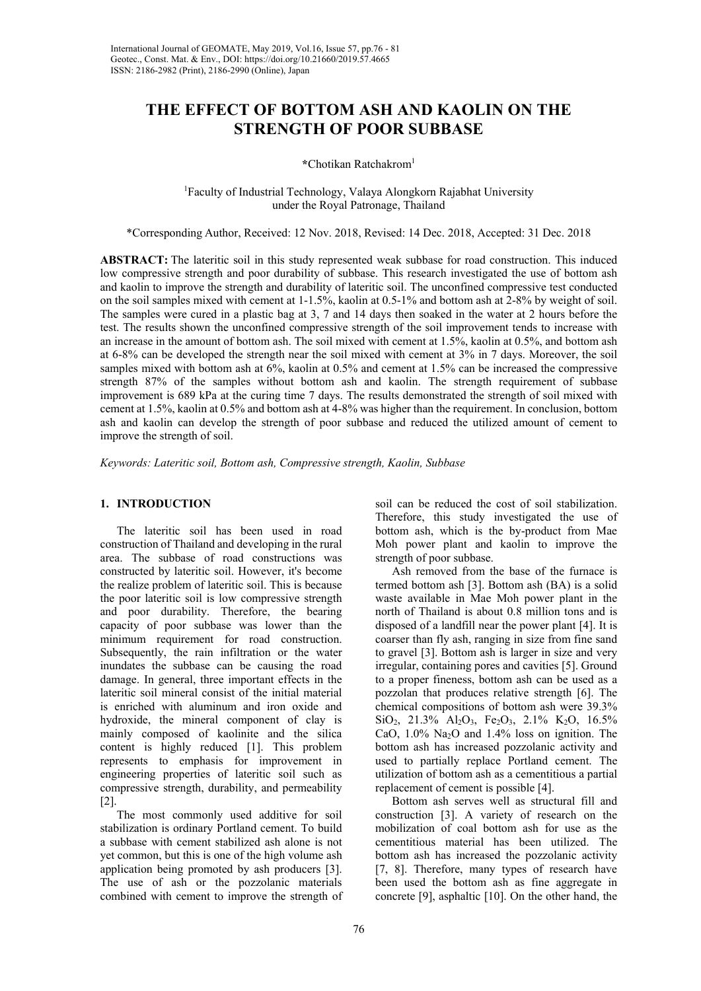# **THE EFFECT OF BOTTOM ASH AND KAOLIN ON THE STRENGTH OF POOR SUBBASE**

**\***Chotikan Ratchakrom1

1 Faculty of Industrial Technology, Valaya Alongkorn Rajabhat University under the Royal Patronage, Thailand

\*Corresponding Author, Received: 12 Nov. 2018, Revised: 14 Dec. 2018, Accepted: 31 Dec. 2018

**ABSTRACT:** The lateritic soil in this study represented weak subbase for road construction. This induced low compressive strength and poor durability of subbase. This research investigated the use of bottom ash and kaolin to improve the strength and durability of lateritic soil. The unconfined compressive test conducted on the soil samples mixed with cement at 1-1.5%, kaolin at 0.5-1% and bottom ash at 2-8% by weight of soil. The samples were cured in a plastic bag at 3, 7 and 14 days then soaked in the water at 2 hours before the test. The results shown the unconfined compressive strength of the soil improvement tends to increase with an increase in the amount of bottom ash. The soil mixed with cement at 1.5%, kaolin at 0.5%, and bottom ash at 6-8% can be developed the strength near the soil mixed with cement at 3% in 7 days. Moreover, the soil samples mixed with bottom ash at 6%, kaolin at 0.5% and cement at 1.5% can be increased the compressive strength 87% of the samples without bottom ash and kaolin. The strength requirement of subbase improvement is 689 kPa at the curing time 7 days. The results demonstrated the strength of soil mixed with cement at 1.5%, kaolin at 0.5% and bottom ash at 4-8% was higher than the requirement. In conclusion, bottom ash and kaolin can develop the strength of poor subbase and reduced the utilized amount of cement to improve the strength of soil.

*Keywords: Lateritic soil, Bottom ash, Compressive strength, Kaolin, Subbase* 

## **1. INTRODUCTION**

The lateritic soil has been used in road construction of Thailand and developing in the rural area. The subbase of road constructions was constructed by lateritic soil. However, it's become the realize problem of lateritic soil. This is because the poor lateritic soil is low compressive strength and poor durability. Therefore, the bearing capacity of poor subbase was lower than the minimum requirement for road construction. Subsequently, the rain infiltration or the water inundates the subbase can be causing the road damage. In general, three important effects in the lateritic soil mineral consist of the initial material is enriched with aluminum and iron oxide and hydroxide, the mineral component of clay is mainly composed of kaolinite and the silica content is highly reduced [1]. This problem represents to emphasis for improvement in engineering properties of lateritic soil such as compressive strength, durability, and permeability [2].

The most commonly used additive for soil stabilization is ordinary Portland cement. To build a subbase with cement stabilized ash alone is not yet common, but this is one of the high volume ash application being promoted by ash producers [3]. The use of ash or the pozzolanic materials combined with cement to improve the strength of soil can be reduced the cost of soil stabilization. Therefore, this study investigated the use of bottom ash, which is the by-product from Mae Moh power plant and kaolin to improve the strength of poor subbase.

Ash removed from the base of the furnace is termed bottom ash [3]. Bottom ash (BA) is a solid waste available in Mae Moh power plant in the north of Thailand is about 0.8 million tons and is disposed of a landfill near the power plant [4]. It is coarser than fly ash, ranging in size from fine sand to gravel [3]. Bottom ash is larger in size and very irregular, containing pores and cavities [5]. Ground to a proper fineness, bottom ash can be used as a pozzolan that produces relative strength [6]. The chemical compositions of bottom ash were 39.3%  $SiO_2$ ,  $21.3\%$  Al<sub>2</sub>O<sub>3</sub>, Fe<sub>2</sub>O<sub>3</sub>, 2.1% K<sub>2</sub>O, 16.5% CaO, 1.0% Na2O and 1.4% loss on ignition. The bottom ash has increased pozzolanic activity and used to partially replace Portland cement. The utilization of bottom ash as a cementitious a partial replacement of cement is possible [4].

Bottom ash serves well as structural fill and construction [3]. A variety of research on the mobilization of coal bottom ash for use as the cementitious material has been utilized. The bottom ash has increased the pozzolanic activity [7, 8]. Therefore, many types of research have been used the bottom ash as fine aggregate in concrete [9], asphaltic [10]. On the other hand, the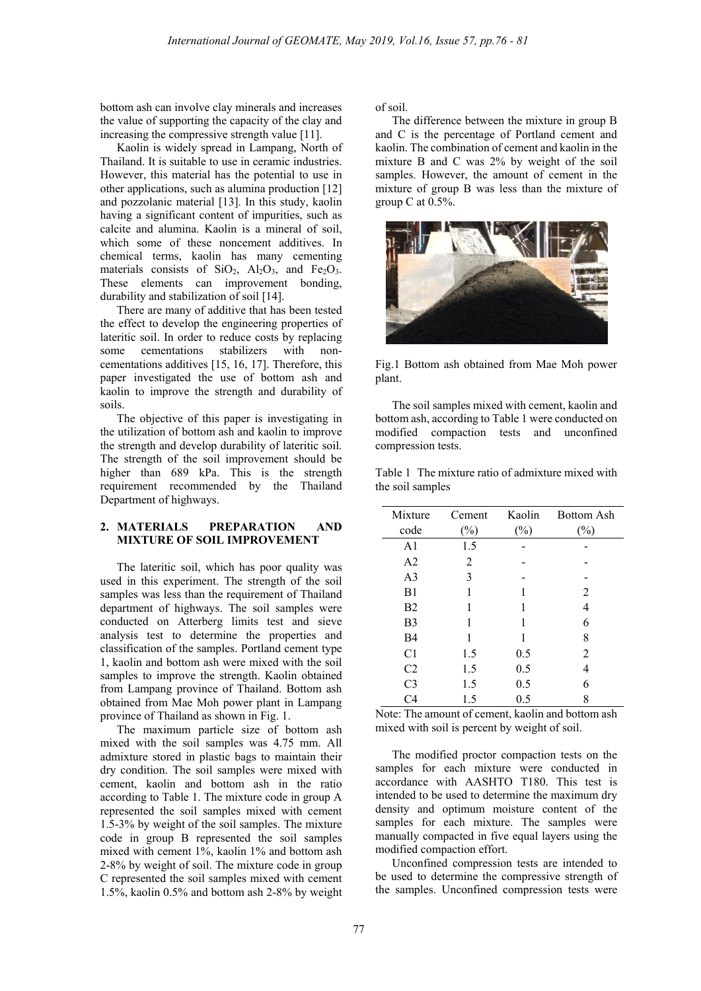bottom ash can involve clay minerals and increases the value of supporting the capacity of the clay and increasing the compressive strength value [11].

Kaolin is widely spread in Lampang, North of Thailand. It is suitable to use in ceramic industries. However, this material has the potential to use in other applications, such as alumina production [12] and pozzolanic material [13]. In this study, kaolin having a significant content of impurities, such as calcite and alumina. Kaolin is a mineral of soil, which some of these noncement additives. In chemical terms, kaolin has many cementing materials consists of  $SiO<sub>2</sub>$ ,  $Al<sub>2</sub>O<sub>3</sub>$ , and  $Fe<sub>2</sub>O<sub>3</sub>$ . These elements can improvement bonding, durability and stabilization of soil [14].

There are many of additive that has been tested the effect to develop the engineering properties of lateritic soil. In order to reduce costs by replacing some cementations stabilizers with noncementations additives [15, 16, 17]. Therefore, this paper investigated the use of bottom ash and kaolin to improve the strength and durability of soils.

The objective of this paper is investigating in the utilization of bottom ash and kaolin to improve the strength and develop durability of lateritic soil. The strength of the soil improvement should be higher than 689 kPa. This is the strength requirement recommended by the Thailand Department of highways.

# **2. MATERIALS PREPARATION AND MIXTURE OF SOIL IMPROVEMENT**

The lateritic soil, which has poor quality was used in this experiment. The strength of the soil samples was less than the requirement of Thailand department of highways. The soil samples were conducted on Atterberg limits test and sieve analysis test to determine the properties and classification of the samples. Portland cement type 1, kaolin and bottom ash were mixed with the soil samples to improve the strength. Kaolin obtained from Lampang province of Thailand. Bottom ash obtained from Mae Moh power plant in Lampang province of Thailand as shown in Fig. 1.

The maximum particle size of bottom ash mixed with the soil samples was 4.75 mm. All admixture stored in plastic bags to maintain their dry condition. The soil samples were mixed with cement, kaolin and bottom ash in the ratio according to Table 1. The mixture code in group A represented the soil samples mixed with cement 1.5-3% by weight of the soil samples. The mixture code in group B represented the soil samples mixed with cement 1%, kaolin 1% and bottom ash 2-8% by weight of soil. The mixture code in group C represented the soil samples mixed with cement 1.5%, kaolin 0.5% and bottom ash 2-8% by weight

of soil.

The difference between the mixture in group B and C is the percentage of Portland cement and kaolin. The combination of cement and kaolin in the mixture B and C was 2% by weight of the soil samples. However, the amount of cement in the mixture of group B was less than the mixture of group C at 0.5%.



Fig.1 Bottom ash obtained from Mae Moh power plant.

The soil samples mixed with cement, kaolin and bottom ash, according to Table 1 were conducted on modified compaction tests and unconfined compression tests.

Table 1 The mixture ratio of admixture mixed with the soil samples

| <b>Bottom Ash</b> |
|-------------------|
|                   |
|                   |
|                   |
|                   |
|                   |
|                   |
|                   |
|                   |
|                   |
|                   |
|                   |
|                   |
|                   |

Note: The amount of cement, kaolin and bottom ash mixed with soil is percent by weight of soil.

The modified proctor compaction tests on the samples for each mixture were conducted in accordance with AASHTO T180. This test is intended to be used to determine the maximum dry density and optimum moisture content of the samples for each mixture. The samples were manually compacted in five equal layers using the modified compaction effort.

Unconfined compression tests are intended to be used to determine the compressive strength of the samples. Unconfined compression tests were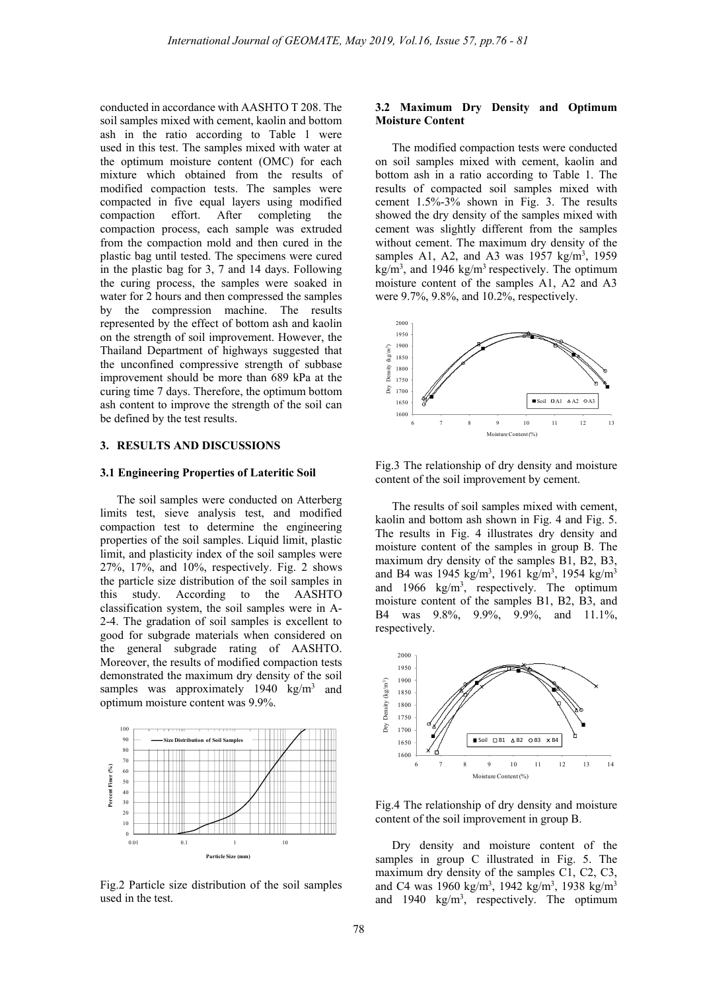conducted in accordance with AASHTO T 208. The soil samples mixed with cement, kaolin and bottom ash in the ratio according to Table 1 were used in this test. The samples mixed with water at the optimum moisture content (OMC) for each mixture which obtained from the results of modified compaction tests. The samples were compacted in five equal layers using modified compaction effort. After completing the compaction process, each sample was extruded from the compaction mold and then cured in the plastic bag until tested. The specimens were cured in the plastic bag for 3, 7 and 14 days. Following the curing process, the samples were soaked in water for 2 hours and then compressed the samples by the compression machine. The results represented by the effect of bottom ash and kaolin on the strength of soil improvement. However, the Thailand Department of highways suggested that the unconfined compressive strength of subbase improvement should be more than 689 kPa at the curing time 7 days. Therefore, the optimum bottom ash content to improve the strength of the soil can be defined by the test results.

#### **3. RESULTS AND DISCUSSIONS**

#### **3.1 Engineering Properties of Lateritic Soil**

The soil samples were conducted on Atterberg limits test, sieve analysis test, and modified compaction test to determine the engineering properties of the soil samples. Liquid limit, plastic limit, and plasticity index of the soil samples were 27%, 17%, and 10%, respectively. Fig. 2 shows the particle size distribution of the soil samples in this study. According to the AASHTO classification system, the soil samples were in A-2-4. The gradation of soil samples is excellent to good for subgrade materials when considered on the general subgrade rating of AASHTO. Moreover, the results of modified compaction tests demonstrated the maximum dry density of the soil samples was approximately 1940  $\text{kg/m}^3$  and optimum moisture content was 9.9%.



Fig.2 Particle size distribution of the soil samples used in the test.

## **3.2 Maximum Dry Density and Optimum Moisture Content**

The modified compaction tests were conducted on soil samples mixed with cement, kaolin and bottom ash in a ratio according to Table 1. The results of compacted soil samples mixed with cement 1.5%-3% shown in Fig. 3. The results showed the dry density of the samples mixed with cement was slightly different from the samples without cement. The maximum dry density of the samples A1, A2, and A3 was 1957 kg/m<sup>3</sup>, 1959  $kg/m<sup>3</sup>$ , and 1946 kg/m<sup>3</sup> respectively. The optimum moisture content of the samples A1, A2 and A3 were 9.7%, 9.8%, and 10.2%, respectively.



Fig.3 The relationship of dry density and moisture content of the soil improvement by cement.

The results of soil samples mixed with cement, kaolin and bottom ash shown in Fig. 4 and Fig. 5. The results in Fig. 4 illustrates dry density and moisture content of the samples in group B. The maximum dry density of the samples B1, B2, B3, and B4 was 1945 kg/m<sup>3</sup>, 1961 kg/m<sup>3</sup>, 1954 kg/m<sup>3</sup> and  $1966 \text{ kg/m}^3$ , respectively. The optimum moisture content of the samples B1, B2, B3, and B4 was 9.8%, 9.9%, 9.9%, and 11.1%, respectively.



Fig.4 The relationship of dry density and moisture content of the soil improvement in group B.

Dry density and moisture content of the samples in group C illustrated in Fig. 5. The maximum dry density of the samples C1, C2, C3, and C4 was 1960 kg/m<sup>3</sup>, 1942 kg/m<sup>3</sup>, 1938 kg/m<sup>3</sup> and  $1940 \text{ kg/m}^3$ , respectively. The optimum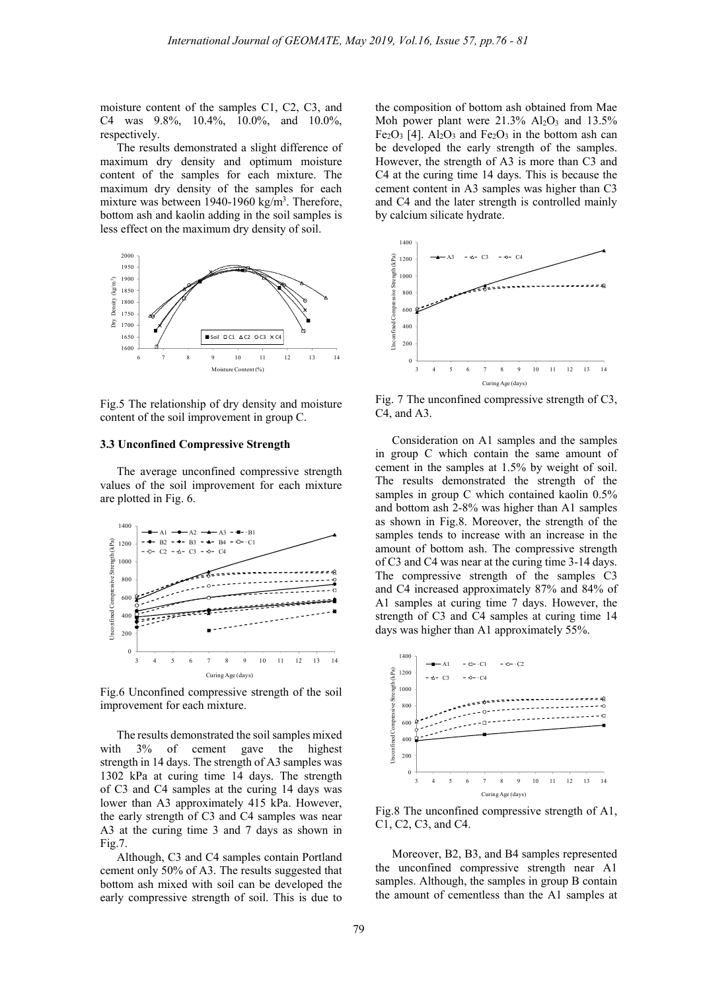moisture content of the samples C1, C2, C3, and C4 was 9.8%, 10.4%, 10.0%, and 10.0%, respectively.

The results demonstrated a slight difference of maximum dry density and optimum moisture content of the samples for each mixture. The maximum dry density of the samples for each mixture was between 1940-1960 kg/m<sup>3</sup>. Therefore, bottom ash and kaolin adding in the soil samples is less effect on the maximum dry density of soil.



Fig.5 The relationship of dry density and moisture content of the soil improvement in group C.

### **3.3 Unconfined Compressive Strength**

The average unconfined compressive strength values of the soil improvement for each mixture are plotted in Fig. 6.



 Fig.6 Unconfined compressive strength of the soil improvement for each mixture.

The results demonstrated the soil samples mixed with 3% of cement gave the highest strength in 14 days. The strength of A3 samples was 1302 kPa at curing time 14 days. The strength of C3 and C4 samples at the curing 14 days was lower than A3 approximately 415 kPa. However, the early strength of C3 and C4 samples was near A3 at the curing time 3 and 7 days as shown in Fig.7.

Although, C3 and C4 samples contain Portland cement only 50% of A3. The results suggested that bottom ash mixed with soil can be developed the early compressive strength of soil. This is due to the composition of bottom ash obtained from Mae Moh power plant were  $21.3\%$  Al<sub>2</sub>O<sub>3</sub> and 13.5%  $Fe<sub>2</sub>O<sub>3</sub>$  [4]. Al<sub>2</sub>O<sub>3</sub> and  $Fe<sub>2</sub>O<sub>3</sub>$  in the bottom ash can be developed the early strength of the samples. However, the strength of A3 is more than C3 and C4 at the curing time 14 days. This is because the cement content in A3 samples was higher than C3 and C4 and the later strength is controlled mainly by calcium silicate hydrate.



Fig. 7 The unconfined compressive strength of C3, C4, and A3.

Consideration on A1 samples and the samples in group C which contain the same amount of cement in the samples at 1.5% by weight of soil. The results demonstrated the strength of the samples in group C which contained kaolin 0.5% and bottom ash 2-8% was higher than A1 samples as shown in Fig.8. Moreover, the strength of the samples tends to increase with an increase in the amount of bottom ash. The compressive strength of C3 and C4 was near at the curing time 3-14 days. The compressive strength of the samples C3 and C4 increased approximately 87% and 84% of A1 samples at curing time 7 days. However, the strength of C3 and C4 samples at curing time 14 days was higher than A1 approximately 55%.



Fig.8 The unconfined compressive strength of A1, C1, C2, C3, and C4.

Moreover, B2, B3, and B4 samples represented the unconfined compressive strength near A1 samples. Although, the samples in group B contain the amount of cementless than the A1 samples at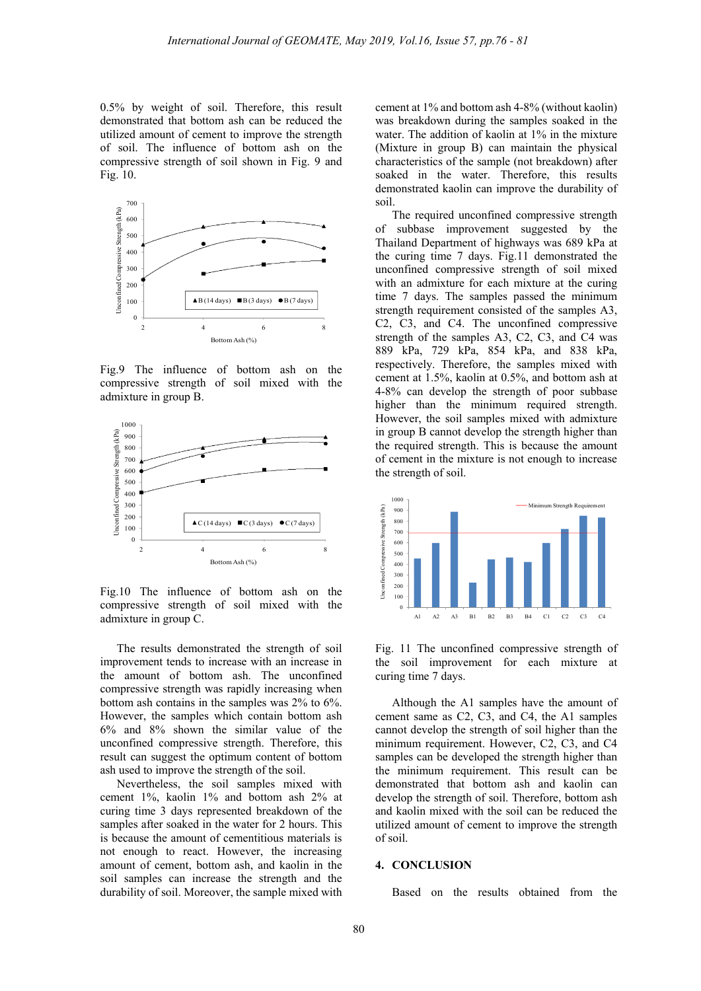0.5% by weight of soil. Therefore, this result demonstrated that bottom ash can be reduced the utilized amount of cement to improve the strength of soil. The influence of bottom ash on the compressive strength of soil shown in Fig. 9 and Fig. 10.



Fig.9 The influence of bottom ash on the compressive strength of soil mixed with the admixture in group B.



Fig.10 The influence of bottom ash on the compressive strength of soil mixed with the admixture in group C.

The results demonstrated the strength of soil improvement tends to increase with an increase in the amount of bottom ash. The unconfined compressive strength was rapidly increasing when bottom ash contains in the samples was 2% to 6%. However, the samples which contain bottom ash 6% and 8% shown the similar value of the unconfined compressive strength. Therefore, this result can suggest the optimum content of bottom ash used to improve the strength of the soil.

Nevertheless, the soil samples mixed with cement 1%, kaolin 1% and bottom ash 2% at curing time 3 days represented breakdown of the samples after soaked in the water for 2 hours. This is because the amount of cementitious materials is not enough to react. However, the increasing amount of cement, bottom ash, and kaolin in the soil samples can increase the strength and the durability of soil. Moreover, the sample mixed with cement at 1% and bottom ash 4-8% (without kaolin) was breakdown during the samples soaked in the water. The addition of kaolin at 1% in the mixture (Mixture in group B) can maintain the physical characteristics of the sample (not breakdown) after soaked in the water. Therefore, this results demonstrated kaolin can improve the durability of soil.

The required unconfined compressive strength of subbase improvement suggested by the Thailand Department of highways was 689 kPa at the curing time 7 days. Fig.11 demonstrated the unconfined compressive strength of soil mixed with an admixture for each mixture at the curing time 7 days. The samples passed the minimum strength requirement consisted of the samples A3, C2, C3, and C4. The unconfined compressive strength of the samples A3, C2, C3, and C4 was 889 kPa, 729 kPa, 854 kPa, and 838 kPa, respectively. Therefore, the samples mixed with cement at 1.5%, kaolin at 0.5%, and bottom ash at 4-8% can develop the strength of poor subbase higher than the minimum required strength. However, the soil samples mixed with admixture in group B cannot develop the strength higher than the required strength. This is because the amount of cement in the mixture is not enough to increase the strength of soil.



Fig. 11 The unconfined compressive strength of the soil improvement for each mixture at curing time 7 days.

Although the A1 samples have the amount of cement same as C2, C3, and C4, the A1 samples cannot develop the strength of soil higher than the minimum requirement. However, C2, C3, and C4 samples can be developed the strength higher than the minimum requirement. This result can be demonstrated that bottom ash and kaolin can develop the strength of soil. Therefore, bottom ash and kaolin mixed with the soil can be reduced the utilized amount of cement to improve the strength of soil.

#### **4. CONCLUSION**

Based on the results obtained from the